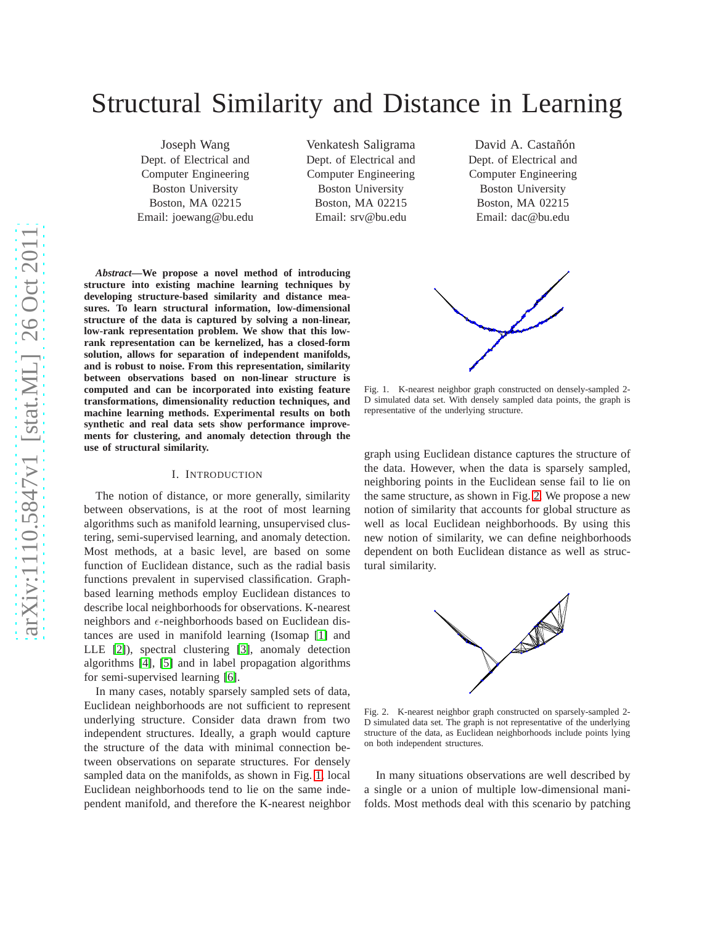# Structural Similarity and Distance in Learning

Joseph Wang Dept. of Electrical and Computer Engineering Boston University Boston, MA 02215 Email: joewang@bu.edu

Venkatesh Saligrama Dept. of Electrical and Computer Engineering Boston University Boston, MA 02215 Email: srv@bu.edu

David A. Castañón Dept. of Electrical and Computer Engineering Boston University Boston, MA 02215 Email: dac@bu.edu

*Abstract***—We propose a novel method of introducing structure into existing machine learning techniques by developing structure-based similarity and distance measures. To learn structural information, low-dimensional structure of the data is captured by solving a non-linear, low-rank representation problem. We show that this lowrank representation can be kernelized, has a closed-form solution, allows for separation of independent manifolds, and is robust to noise. From this representation, similarity between observations based on non-linear structure is computed and can be incorporated into existing feature transformations, dimensionality reduction techniques, and machine learning methods. Experimental results on both synthetic and real data sets show performance improvements for clustering, and anomaly detection through the use of structural similarity.**

## I. INTRODUCTION

The notion of distance, or more generally, similarity between observations, is at the root of most learning algorithms such as manifold learning, unsupervised clustering, semi-supervised learning, and anomaly detection. Most methods, at a basic level, are based on some function of Euclidean distance, such as the radial basis functions prevalent in supervised classification. Graphbased learning methods employ Euclidean distances to describe local neighborhoods for observations. K-nearest neighbors and  $\epsilon$ -neighborhoods based on Euclidean distances are used in manifold learning (Isomap [\[1\]](#page-8-0) and LLE [\[2\]](#page-8-1)), spectral clustering [\[3\]](#page-8-2), anomaly detection algorithms [\[4\]](#page-8-3), [\[5\]](#page-8-4) and in label propagation algorithms for semi-supervised learning [\[6\]](#page-8-5).

In many cases, notably sparsely sampled sets of data, Euclidean neighborhoods are not sufficient to represent underlying structure. Consider data drawn from two independent structures. Ideally, a graph would capture the structure of the data with minimal connection between observations on separate structures. For densely sampled data on the manifolds, as shown in Fig. [1,](#page-0-0) local Euclidean neighborhoods tend to lie on the same independent manifold, and therefore the K-nearest neighbor

Fig. 1. K-nearest neighbor graph constructed on densely-sampled 2-

<span id="page-0-0"></span>D simulated data set. With densely sampled data points, the graph is representative of the underlying structure.

graph using Euclidean distance captures the structure of the data. However, when the data is sparsely sampled, neighboring points in the Euclidean sense fail to lie on the same structure, as shown in Fig. [2.](#page-0-1) We propose a new notion of similarity that accounts for global structure as well as local Euclidean neighborhoods. By using this new notion of similarity, we can define neighborhoods dependent on both Euclidean distance as well as structural similarity.



<span id="page-0-1"></span>Fig. 2. K-nearest neighbor graph constructed on sparsely-sampled 2- D simulated data set. The graph is not representative of the underlying structure of the data, as Euclidean neighborhoods include points lying on both independent structures.

In many situations observations are well described by a single or a union of multiple low-dimensional manifolds. Most methods deal with this scenario by patching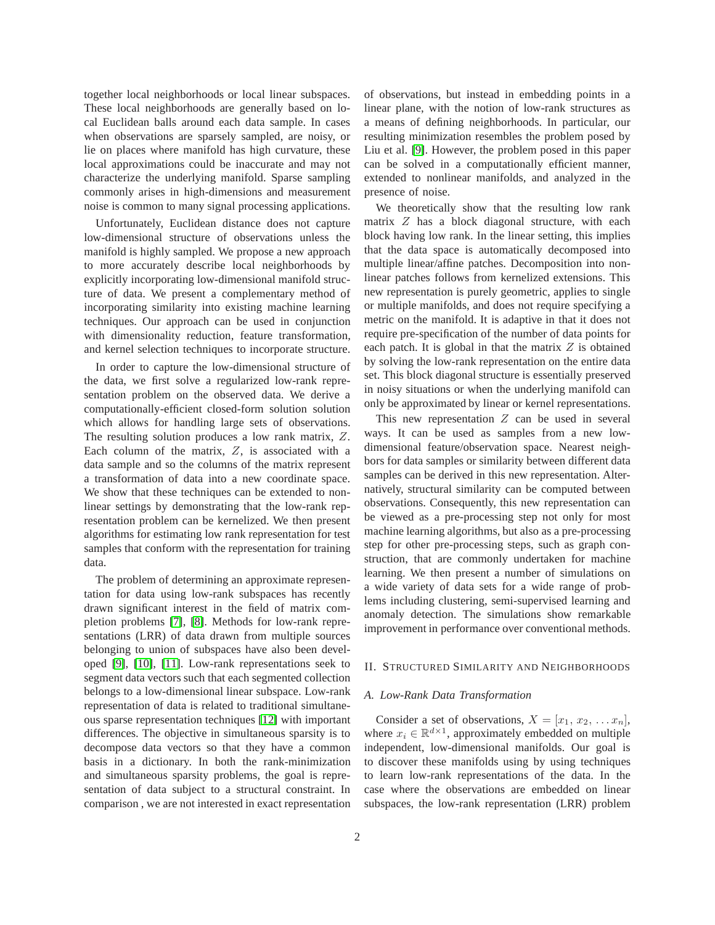together local neighborhoods or local linear subspaces. These local neighborhoods are generally based on local Euclidean balls around each data sample. In cases when observations are sparsely sampled, are noisy, or lie on places where manifold has high curvature, these local approximations could be inaccurate and may not characterize the underlying manifold. Sparse sampling commonly arises in high-dimensions and measurement noise is common to many signal processing applications.

Unfortunately, Euclidean distance does not capture low-dimensional structure of observations unless the manifold is highly sampled. We propose a new approach to more accurately describe local neighborhoods by explicitly incorporating low-dimensional manifold structure of data. We present a complementary method of incorporating similarity into existing machine learning techniques. Our approach can be used in conjunction with dimensionality reduction, feature transformation, and kernel selection techniques to incorporate structure.

In order to capture the low-dimensional structure of the data, we first solve a regularized low-rank representation problem on the observed data. We derive a computationally-efficient closed-form solution solution which allows for handling large sets of observations. The resulting solution produces a low rank matrix, Z. Each column of the matrix,  $Z$ , is associated with a data sample and so the columns of the matrix represent a transformation of data into a new coordinate space. We show that these techniques can be extended to nonlinear settings by demonstrating that the low-rank representation problem can be kernelized. We then present algorithms for estimating low rank representation for test samples that conform with the representation for training data.

The problem of determining an approximate representation for data using low-rank subspaces has recently drawn significant interest in the field of matrix completion problems [\[7\]](#page-8-6), [\[8\]](#page-8-7). Methods for low-rank representations (LRR) of data drawn from multiple sources belonging to union of subspaces have also been developed [\[9\]](#page-8-8), [\[10\]](#page-8-9), [\[11\]](#page-8-10). Low-rank representations seek to segment data vectors such that each segmented collection belongs to a low-dimensional linear subspace. Low-rank representation of data is related to traditional simultaneous sparse representation techniques [\[12\]](#page-8-11) with important differences. The objective in simultaneous sparsity is to decompose data vectors so that they have a common basis in a dictionary. In both the rank-minimization and simultaneous sparsity problems, the goal is representation of data subject to a structural constraint. In comparison , we are not interested in exact representation

of observations, but instead in embedding points in a linear plane, with the notion of low-rank structures as a means of defining neighborhoods. In particular, our resulting minimization resembles the problem posed by Liu et al. [\[9\]](#page-8-8). However, the problem posed in this paper can be solved in a computationally efficient manner, extended to nonlinear manifolds, and analyzed in the presence of noise.

We theoretically show that the resulting low rank matrix  $Z$  has a block diagonal structure, with each block having low rank. In the linear setting, this implies that the data space is automatically decomposed into multiple linear/affine patches. Decomposition into nonlinear patches follows from kernelized extensions. This new representation is purely geometric, applies to single or multiple manifolds, and does not require specifying a metric on the manifold. It is adaptive in that it does not require pre-specification of the number of data points for each patch. It is global in that the matrix  $Z$  is obtained by solving the low-rank representation on the entire data set. This block diagonal structure is essentially preserved in noisy situations or when the underlying manifold can only be approximated by linear or kernel representations.

This new representation  $Z$  can be used in several ways. It can be used as samples from a new lowdimensional feature/observation space. Nearest neighbors for data samples or similarity between different data samples can be derived in this new representation. Alternatively, structural similarity can be computed between observations. Consequently, this new representation can be viewed as a pre-processing step not only for most machine learning algorithms, but also as a pre-processing step for other pre-processing steps, such as graph construction, that are commonly undertaken for machine learning. We then present a number of simulations on a wide variety of data sets for a wide range of problems including clustering, semi-supervised learning and anomaly detection. The simulations show remarkable improvement in performance over conventional methods.

### <span id="page-1-0"></span>II. STRUCTURED SIMILARITY AND NEIGHBORHOODS

#### *A. Low-Rank Data Transformation*

Consider a set of observations,  $X = [x_1, x_2, \ldots, x_n],$ where  $x_i \in \mathbb{R}^{d \times 1}$ , approximately embedded on multiple independent, low-dimensional manifolds. Our goal is to discover these manifolds using by using techniques to learn low-rank representations of the data. In the case where the observations are embedded on linear subspaces, the low-rank representation (LRR) problem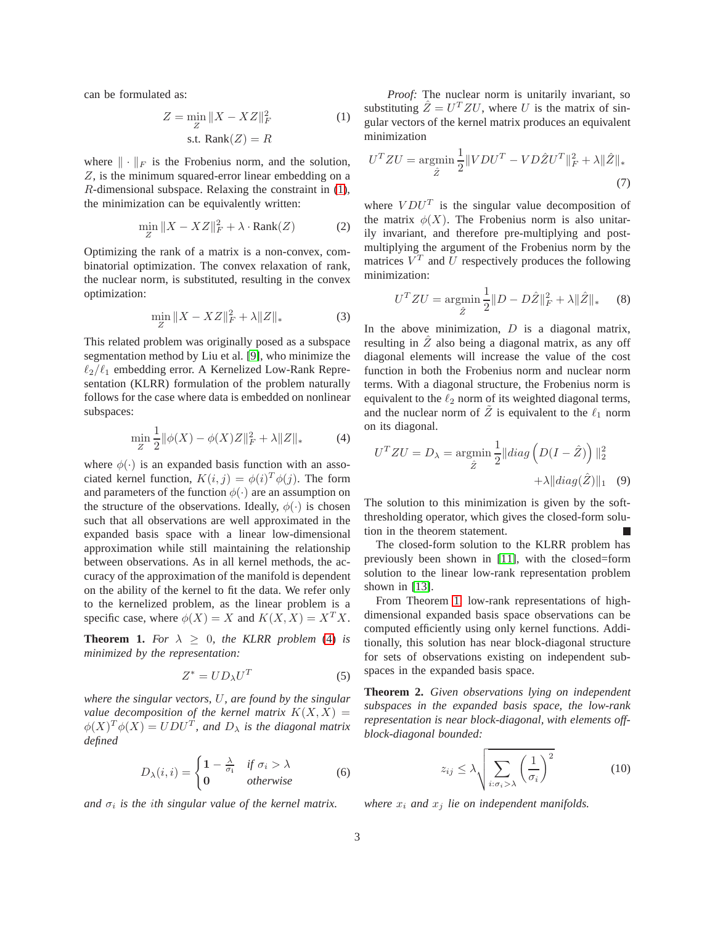can be formulated as:

$$
Z = \min_{Z} \|X - XZ\|_{F}^{2}
$$
  
s.t. Rank(Z) = R (1)

where  $\|\cdot\|_F$  is the Frobenius norm, and the solution, Z, is the minimum squared-error linear embedding on a R-dimensional subspace. Relaxing the constraint in [\(1\)](#page-2-0), the minimization can be equivalently written:

$$
\min_{Z} \|X - XZ\|_F^2 + \lambda \cdot \text{Rank}(Z) \tag{2}
$$

Optimizing the rank of a matrix is a non-convex, combinatorial optimization. The convex relaxation of rank, the nuclear norm, is substituted, resulting in the convex optimization:

$$
\min_{Z} \|X - XZ\|_{F}^{2} + \lambda \|Z\|_{*} \tag{3}
$$

This related problem was originally posed as a subspace segmentation method by Liu et al. [\[9\]](#page-8-8), who minimize the  $\ell_2/\ell_1$  embedding error. A Kernelized Low-Rank Representation (KLRR) formulation of the problem naturally follows for the case where data is embedded on nonlinear subspaces:

$$
\min_{Z} \frac{1}{2} ||\phi(X) - \phi(X)Z||_{F}^{2} + \lambda ||Z||_{*} \tag{4}
$$

where  $\phi(\cdot)$  is an expanded basis function with an associated kernel function,  $K(i, j) = \phi(i)^T \phi(j)$ . The form and parameters of the function  $\phi(\cdot)$  are an assumption on the structure of the observations. Ideally,  $\phi(\cdot)$  is chosen such that all observations are well approximated in the expanded basis space with a linear low-dimensional approximation while still maintaining the relationship between observations. As in all kernel methods, the accuracy of the approximation of the manifold is dependent on the ability of the kernel to fit the data. We refer only to the kernelized problem, as the linear problem is a specific case, where  $\phi(X) = X$  and  $K(X, X) = X^T X$ .

<span id="page-2-2"></span>**Theorem 1.** *For*  $\lambda \geq 0$ *, the KLRR problem* [\(4\)](#page-2-1) *is minimized by the representation:*

$$
Z^* = U D_{\lambda} U^T \tag{5}
$$

*where the singular vectors,* U*, are found by the singular value decomposition of the kernel matrix*  $K(X, X) =$  $\phi(X)^T \phi(X) = UDU^T$ , and  $D_\lambda$  is the diagonal matrix *defined*

$$
D_{\lambda}(i,i) = \begin{cases} 1 - \frac{\lambda}{\sigma_i} & \text{if } \sigma_i > \lambda \\ 0 & \text{otherwise} \end{cases}
$$
 (6)

 $\alpha$ *nd*  $\sigma_i$  is the ith singular value of the kernel matrix.

<span id="page-2-0"></span>*Proof:* The nuclear norm is unitarily invariant, so substituting  $\hat{Z} = U^T Z U$ , where U is the matrix of singular vectors of the kernel matrix produces an equivalent minimization

$$
U^{T}ZU = \underset{\hat{Z}}{\text{argmin}} \frac{1}{2} ||VDU^{T} - VD\hat{Z}U^{T}||_{F}^{2} + \lambda ||\hat{Z}||_{*}
$$
\n(7)

where  $VDU<sup>T</sup>$  is the singular value decomposition of the matrix  $\phi(X)$ . The Frobenius norm is also unitarily invariant, and therefore pre-multiplying and postmultiplying the argument of the Frobenius norm by the matrices  $V^T$  and U respectively produces the following minimization:

$$
U^{T}ZU = \underset{\hat{Z}}{\text{argmin}} \frac{1}{2} ||D - D\hat{Z}||_{F}^{2} + \lambda ||\hat{Z}||_{*} \quad (8)
$$

In the above minimization,  $D$  is a diagonal matrix, resulting in  $Z$  also being a diagonal matrix, as any off diagonal elements will increase the value of the cost function in both the Frobenius norm and nuclear norm terms. With a diagonal structure, the Frobenius norm is equivalent to the  $\ell_2$  norm of its weighted diagonal terms, and the nuclear norm of  $\tilde{Z}$  is equivalent to the  $\ell_1$  norm on its diagonal.

<span id="page-2-1"></span>
$$
UT Z U = D\lambda = \underset{\hat{Z}}{\text{argmin}} \frac{1}{2} ||diag\left(D(I - \hat{Z})\right)||_2^2
$$

$$
+ \lambda ||diag(\hat{Z})||_1 \quad (9)
$$

The solution to this minimization is given by the softthresholding operator, which gives the closed-form solution in the theorem statement.

The closed-form solution to the KLRR problem has previously been shown in [\[11\]](#page-8-10), with the closed=form solution to the linear low-rank representation problem shown in [\[13\]](#page-8-12).

From Theorem [1,](#page-2-2) low-rank representations of highdimensional expanded basis space observations can be computed efficiently using only kernel functions. Additionally, this solution has near block-diagonal structure for sets of observations existing on independent subspaces in the expanded basis space.

<span id="page-2-3"></span>**Theorem 2.** *Given observations lying on independent subspaces in the expanded basis space, the low-rank representation is near block-diagonal, with elements offblock-diagonal bounded:*

$$
z_{ij} \le \lambda \sqrt{\sum_{i:\sigma_i > \lambda} \left(\frac{1}{\sigma_i}\right)^2} \tag{10}
$$

*where*  $x_i$  *and*  $x_j$  *lie on independent manifolds.*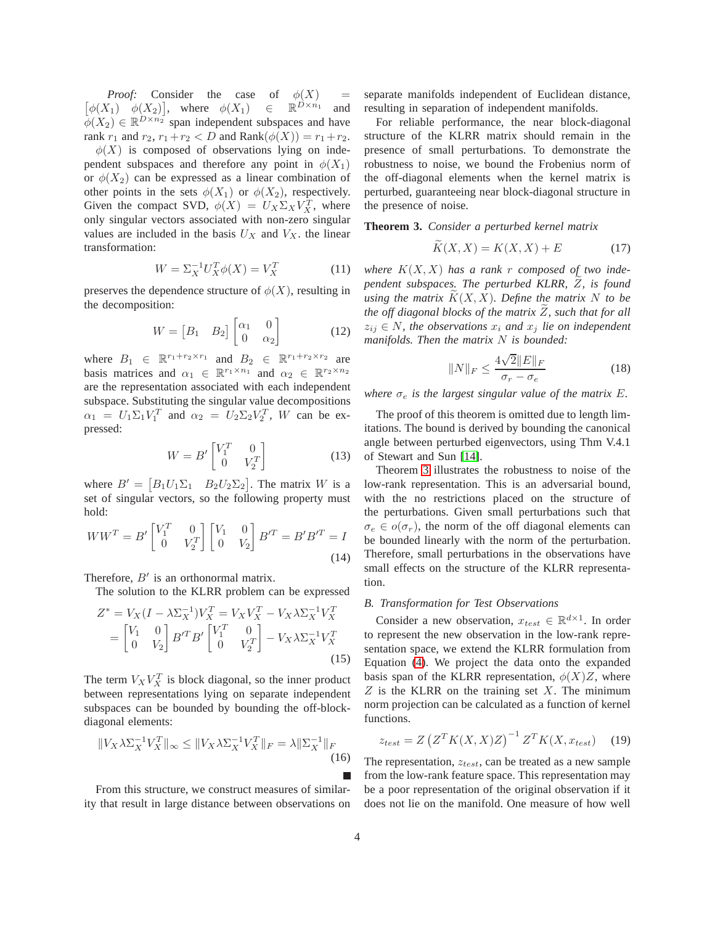$\left[\phi(X_1) \quad \phi(X_2)\right]$ , where  $\phi(X_1) \in \mathbb{R}$ *Proof:* Consider the case of  $\phi(X)$  $\mathbb{R}^{D\times n_1}$  and  $\phi(X_2) \in \mathbb{R}^{D \times n_2}$  span independent subspaces and have rank  $r_1$  and  $r_2$ ,  $r_1 + r_2 < D$  and  $Rank(\phi(X)) = r_1 + r_2$ .

 $\phi(X)$  is composed of observations lying on independent subspaces and therefore any point in  $\phi(X_1)$ or  $\phi(X_2)$  can be expressed as a linear combination of other points in the sets  $\phi(X_1)$  or  $\phi(X_2)$ , respectively. Given the compact SVD,  $\phi(X) = U_X \Sigma_X V_X^T$ , where only singular vectors associated with non-zero singular values are included in the basis  $U_X$  and  $V_X$ . the linear transformation:

$$
W = \Sigma_X^{-1} U_X^T \phi(X) = V_X^T \tag{11}
$$

preserves the dependence structure of  $\phi(X)$ , resulting in the decomposition:

$$
W = \begin{bmatrix} B_1 & B_2 \end{bmatrix} \begin{bmatrix} \alpha_1 & 0 \\ 0 & \alpha_2 \end{bmatrix}
$$
 (12)

where  $B_1 \in \mathbb{R}^{r_1+r_2 \times r_1}$  and  $B_2 \in \mathbb{R}^{r_1+r_2 \times r_2}$  are basis matrices and  $\alpha_1 \in \mathbb{R}^{r_1 \times n_1}$  and  $\alpha_2 \in \mathbb{R}^{r_2 \times n_2}$ are the representation associated with each independent subspace. Substituting the singular value decompositions  $\alpha_1 = U_1 \Sigma_1 V_1^T$  and  $\alpha_2 = U_2 \Sigma_2 V_2^T$ , W can be expressed:

$$
W = B' \begin{bmatrix} V_1^T & 0 \\ 0 & V_2^T \end{bmatrix}
$$
 (13)

where  $B' = [B_1 U_1 \Sigma_1 \quad B_2 U_2 \Sigma_2]$ . The matrix W is a set of singular vectors, so the following property must hold:

$$
WW^{T} = B' \begin{bmatrix} V_{1}^{T} & 0 \\ 0 & V_{2}^{T} \end{bmatrix} \begin{bmatrix} V_{1} & 0 \\ 0 & V_{2} \end{bmatrix} B'^{T} = B'B'^{T} = I
$$
\n(14)

Therefore,  $B'$  is an orthonormal matrix.

The solution to the KLRR problem can be expressed

$$
Z^* = V_X (I - \lambda \Sigma_X^{-1}) V_X^T = V_X V_X^T - V_X \lambda \Sigma_X^{-1} V_X^T = \begin{bmatrix} V_1 & 0 \\ 0 & V_2 \end{bmatrix} B'^T B' \begin{bmatrix} V_1^T & 0 \\ 0 & V_2^T \end{bmatrix} - V_X \lambda \Sigma_X^{-1} V_X^T
$$
(15)

The term  $V_X V_X^T$  is block diagonal, so the inner product between representations lying on separate independent subspaces can be bounded by bounding the off-blockdiagonal elements:

$$
||V_X \lambda \Sigma_X^{-1} V_X^T||_{\infty} \le ||V_X \lambda \Sigma_X^{-1} V_X^T||_F = \lambda ||\Sigma_X^{-1}||_F
$$
\n(16)

From this structure, we construct measures of similarity that result in large distance between observations on separate manifolds independent of Euclidean distance, resulting in separation of independent manifolds.

For reliable performance, the near block-diagonal structure of the KLRR matrix should remain in the presence of small perturbations. To demonstrate the robustness to noise, we bound the Frobenius norm of the off-diagonal elements when the kernel matrix is perturbed, guaranteeing near block-diagonal structure in the presence of noise.

<span id="page-3-0"></span>**Theorem 3.** *Consider a perturbed kernel matrix*

$$
K(X, X) = K(X, X) + E \tag{17}
$$

where  $K(X, X)$  has a rank r composed of two inde*pendent subspaces. The perturbed KLRR, Z, is found using the matrix*  $K(X, X)$ *. Define the matrix* N *to be the off diagonal blocks of the matrix Z, such that for all*  $z_{ij} \in N$ , the observations  $x_i$  and  $x_j$  *lie on independent manifolds. Then the matrix* N *is bounded:*

$$
||N||_F \le \frac{4\sqrt{2}||E||_F}{\sigma_r - \sigma_e} \tag{18}
$$

*where*  $\sigma_e$  *is the largest singular value of the matrix E.* 

The proof of this theorem is omitted due to length limitations. The bound is derived by bounding the canonical angle between perturbed eigenvectors, using Thm V.4.1 of Stewart and Sun [\[14\]](#page-8-13).

Theorem [3](#page-3-0) illustrates the robustness to noise of the low-rank representation. This is an adversarial bound, with the no restrictions placed on the structure of the perturbations. Given small perturbations such that  $\sigma_e \in o(\sigma_r)$ , the norm of the off diagonal elements can be bounded linearly with the norm of the perturbation. Therefore, small perturbations in the observations have small effects on the structure of the KLRR representation.

# <span id="page-3-2"></span>*B. Transformation for Test Observations*

Consider a new observation,  $x_{test} \in \mathbb{R}^{d \times 1}$ . In order to represent the new observation in the low-rank representation space, we extend the KLRR formulation from Equation [\(4\)](#page-2-1). We project the data onto the expanded basis span of the KLRR representation,  $\phi(X)Z$ , where  $Z$  is the KLRR on the training set  $X$ . The minimum norm projection can be calculated as a function of kernel functions.

<span id="page-3-1"></span>
$$
z_{test} = Z \left( Z^T K(X, X) Z \right)^{-1} Z^T K(X, x_{test}) \tag{19}
$$

The representation,  $z_{test}$ , can be treated as a new sample from the low-rank feature space. This representation may be a poor representation of the original observation if it does not lie on the manifold. One measure of how well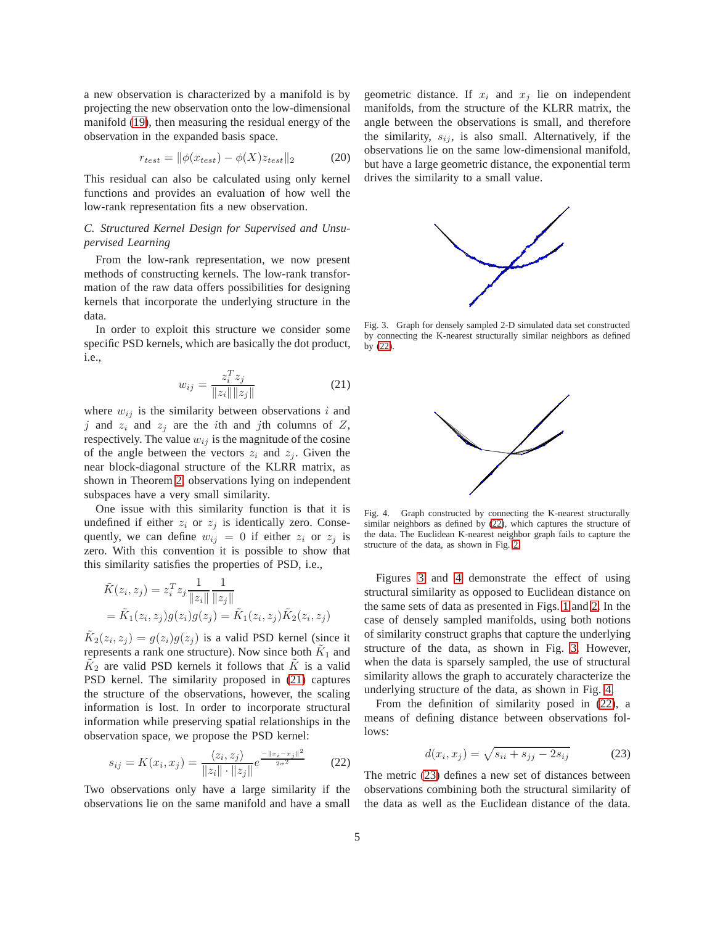a new observation is characterized by a manifold is by projecting the new observation onto the low-dimensional manifold [\(19\)](#page-3-1), then measuring the residual energy of the observation in the expanded basis space.

$$
r_{test} = \|\phi(x_{test}) - \phi(X)z_{test}\|_2 \tag{20}
$$

This residual can also be calculated using only kernel functions and provides an evaluation of how well the low-rank representation fits a new observation.

# *C. Structured Kernel Design for Supervised and Unsupervised Learning*

From the low-rank representation, we now present methods of constructing kernels. The low-rank transformation of the raw data offers possibilities for designing kernels that incorporate the underlying structure in the data.

In order to exploit this structure we consider some specific PSD kernels, which are basically the dot product, i.e.,

$$
w_{ij} = \frac{z_i^T z_j}{\|z_i\| \|z_j\|} \tag{21}
$$

where  $w_{ij}$  is the similarity between observations i and j and  $z_i$  and  $z_j$  are the ith and jth columns of Z, respectively. The value  $w_{ij}$  is the magnitude of the cosine of the angle between the vectors  $z_i$  and  $z_j$ . Given the near block-diagonal structure of the KLRR matrix, as shown in Theorem [2,](#page-2-3) observations lying on independent subspaces have a very small similarity.

One issue with this similarity function is that it is undefined if either  $z_i$  or  $z_j$  is identically zero. Consequently, we can define  $w_{ij} = 0$  if either  $z_i$  or  $z_j$  is zero. With this convention it is possible to show that this similarity satisfies the properties of PSD, i.e.,

$$
\tilde{K}(z_i, z_j) = z_i^T z_j \frac{1}{\|z_i\|} \frac{1}{\|z_j\|} \n= \tilde{K}_1(z_i, z_j) g(z_i) g(z_j) = \tilde{K}_1(z_i, z_j) \tilde{K}_2(z_i, z_j)
$$

 $\tilde{K}_2(z_i, z_j) = g(z_i)g(z_j)$  is a valid PSD kernel (since it represents a rank one structure). Now since both  $\tilde{K}_1$  and  $\tilde{K}_2$  are valid PSD kernels it follows that  $\tilde{K}$  is a valid PSD kernel. The similarity proposed in [\(21\)](#page-4-0) captures the structure of the observations, however, the scaling information is lost. In order to incorporate structural information while preserving spatial relationships in the observation space, we propose the PSD kernel:

$$
s_{ij} = K(x_i, x_j) = \frac{\langle z_i, z_j \rangle}{\|z_i\| \cdot \|z_j\|} e^{\frac{-\|x_i - x_j\|^2}{2\sigma^2}} \qquad (22)
$$

Two observations only have a large similarity if the observations lie on the same manifold and have a small

<span id="page-4-5"></span>geometric distance. If  $x_i$  and  $x_j$  lie on independent manifolds, from the structure of the KLRR matrix, the angle between the observations is small, and therefore the similarity,  $s_{ij}$ , is also small. Alternatively, if the observations lie on the same low-dimensional manifold, but have a large geometric distance, the exponential term drives the similarity to a small value.



<span id="page-4-2"></span><span id="page-4-0"></span>Fig. 3. Graph for densely sampled 2-D simulated data set constructed by connecting the K-nearest structurally similar neighbors as defined by [\(22\)](#page-4-1).



<span id="page-4-3"></span>Fig. 4. Graph constructed by connecting the K-nearest structurally similar neighbors as defined by [\(22\)](#page-4-1), which captures the structure of the data. The Euclidean K-nearest neighbor graph fails to capture the structure of the data, as shown in Fig. [2.](#page-0-1)

Figures [3](#page-4-2) and [4](#page-4-3) demonstrate the effect of using structural similarity as opposed to Euclidean distance on the same sets of data as presented in Figs. [1](#page-0-0) and [2.](#page-0-1) In the case of densely sampled manifolds, using both notions of similarity construct graphs that capture the underlying structure of the data, as shown in Fig. [3.](#page-4-2) However, when the data is sparsely sampled, the use of structural similarity allows the graph to accurately characterize the underlying structure of the data, as shown in Fig. [4.](#page-4-3)

From the definition of similarity posed in [\(22\)](#page-4-1), a means of defining distance between observations follows:

<span id="page-4-4"></span>
$$
d(x_i, x_j) = \sqrt{s_{ii} + s_{jj} - 2s_{ij}} \tag{23}
$$

<span id="page-4-1"></span>The metric [\(23\)](#page-4-4) defines a new set of distances between observations combining both the structural similarity of the data as well as the Euclidean distance of the data.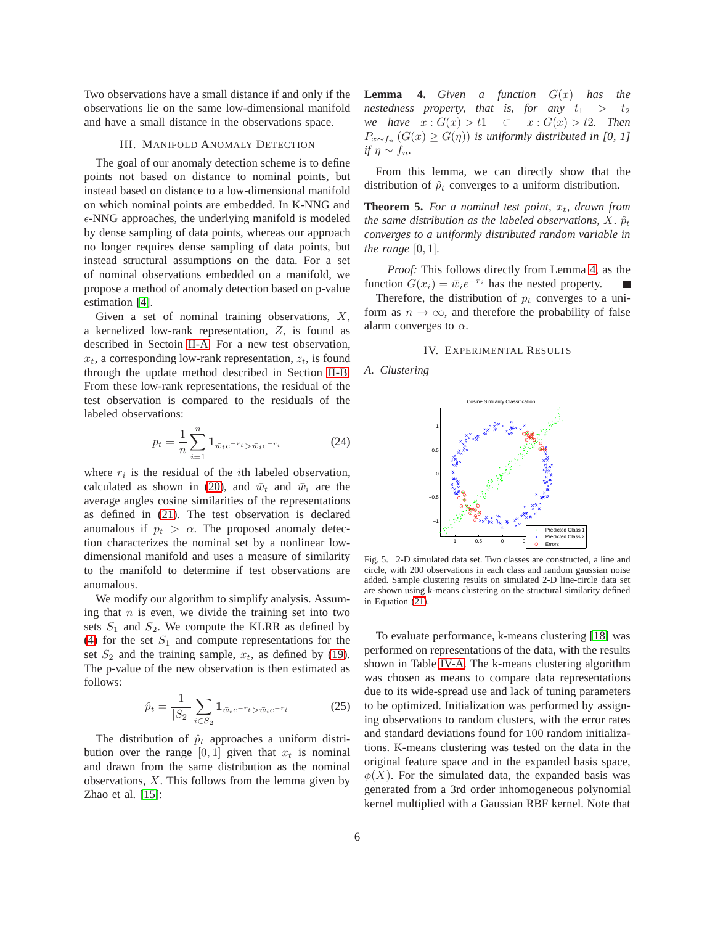Two observations have a small distance if and only if the observations lie on the same low-dimensional manifold and have a small distance in the observations space.

#### III. MANIFOLD ANOMALY DETECTION

The goal of our anomaly detection scheme is to define points not based on distance to nominal points, but instead based on distance to a low-dimensional manifold on which nominal points are embedded. In K-NNG and  $\epsilon$ -NNG approaches, the underlying manifold is modeled by dense sampling of data points, whereas our approach no longer requires dense sampling of data points, but instead structural assumptions on the data. For a set of nominal observations embedded on a manifold, we propose a method of anomaly detection based on p-value estimation [\[4\]](#page-8-3).

Given a set of nominal training observations,  $X$ , a kernelized low-rank representation,  $Z$ , is found as described in Sectoin [II-A.](#page-1-0) For a new test observation,  $x_t$ , a corresponding low-rank representation,  $z_t$ , is found through the update method described in Section [II-B.](#page-3-2) From these low-rank representations, the residual of the test observation is compared to the residuals of the labeled observations:

$$
p_t = \frac{1}{n} \sum_{i=1}^{n} \mathbf{1}_{\bar{w}_t e^{-r_t} > \bar{w}_t e^{-r_i}}
$$
 (24)

where  $r_i$  is the residual of the *i*th labeled observation, calculated as shown in [\(20\)](#page-4-5), and  $\bar{w}_t$  and  $\bar{w}_i$  are the average angles cosine similarities of the representations as defined in [\(21\)](#page-4-0). The test observation is declared anomalous if  $p_t > \alpha$ . The proposed anomaly detection characterizes the nominal set by a nonlinear lowdimensional manifold and uses a measure of similarity to the manifold to determine if test observations are anomalous.

We modify our algorithm to simplify analysis. Assuming that  $n$  is even, we divide the training set into two sets  $S_1$  and  $S_2$ . We compute the KLRR as defined by [\(4\)](#page-2-1) for the set  $S_1$  and compute representations for the set  $S_2$  and the training sample,  $x_t$ , as defined by [\(19\)](#page-3-1). The p-value of the new observation is then estimated as follows:

$$
\hat{p}_t = \frac{1}{|S_2|} \sum_{i \in S_2} \mathbf{1}_{\bar{w}_t e^{-r_t} > \bar{w}_i e^{-r_i}}
$$
(25)

The distribution of  $\hat{p}_t$  approaches a uniform distribution over the range  $[0, 1]$  given that  $x_t$  is nominal and drawn from the same distribution as the nominal observations,  $X$ . This follows from the lemma given by Zhao et al. [\[15\]](#page-8-14):

<span id="page-5-0"></span>**Lemma 4.** *Given a function*  $G(x)$  *has the nestedness property, that is, for any*  $t_1 > t_2$ *we have*  $x: G(x) > t1 \subset x: G(x) > t2$ . Then  $P_{x \sim f_n}$  ( $G(x) \geq G(\eta)$ ) *is uniformly distributed in [0, 1] if*  $\eta \sim f_n$ .

From this lemma, we can directly show that the distribution of  $\hat{p}_t$  converges to a uniform distribution.

**Theorem 5.** For a nominal test point,  $x_t$ , drawn from *the same distribution as the labeled observations, X.*  $\hat{p}_t$ *converges to a uniformly distributed random variable in the range* [0, 1]*.*

*Proof:* This follows directly from Lemma [4,](#page-5-0) as the function  $G(x_i) = \overline{w}_i e^{-r_i}$  has the nested property.

Therefore, the distribution of  $p_t$  converges to a uniform as  $n \to \infty$ , and therefore the probability of false alarm converges to  $\alpha$ .

#### IV. EXPERIMENTAL RESULTS

*A. Clustering*



<span id="page-5-1"></span>Fig. 5. 2-D simulated data set. Two classes are constructed, a line and circle, with 200 observations in each class and random gaussian noise added. Sample clustering results on simulated 2-D line-circle data set are shown using k-means clustering on the structural similarity defined in Equation [\(21\)](#page-4-0).

To evaluate performance, k-means clustering [\[18\]](#page-8-15) was performed on representations of the data, with the results shown in Table [IV-A.](#page-5-1) The k-means clustering algorithm was chosen as means to compare data representations due to its wide-spread use and lack of tuning parameters to be optimized. Initialization was performed by assigning observations to random clusters, with the error rates and standard deviations found for 100 random initializations. K-means clustering was tested on the data in the original feature space and in the expanded basis space,  $\phi(X)$ . For the simulated data, the expanded basis was generated from a 3rd order inhomogeneous polynomial kernel multiplied with a Gaussian RBF kernel. Note that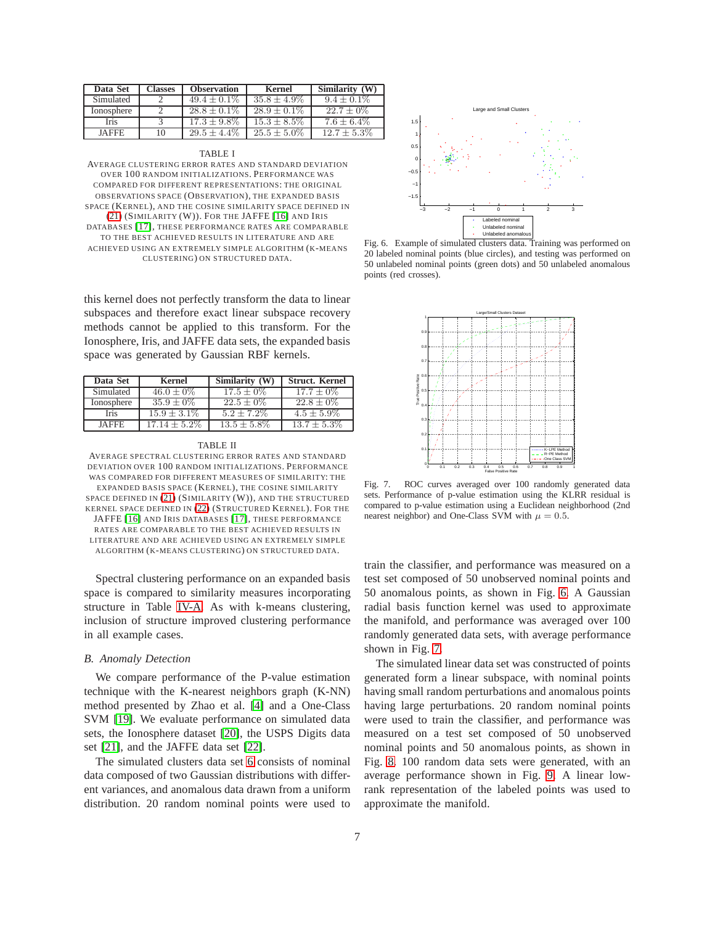| Data Set     | <b>Classes</b> | <b>Observation</b> | <b>Kernel</b>    | Similarity (W)  |
|--------------|----------------|--------------------|------------------|-----------------|
| Simulated    |                | $49.4 \pm 0.1\%$   | $35.8 \pm 4.9\%$ | $9.4 + 0.1\%$   |
| Ionosphere   |                | $28.8 + 0.1\%$     | $28.9 + 0.1\%$   | $22.7 + 0\%$    |
| <b>Iris</b>  |                | $17.3 + 9.8\%$     | $15.3 + 8.5\%$   | $7.6 \pm 6.4\%$ |
| <b>JAFFE</b> | 10             | $29.5 + 4.4\%$     | $25.5 + 5.0\%$   | $12.7 + 5.3\%$  |

|--|

<span id="page-6-0"></span>AVERAGE CLUSTERING ERROR RATES AND STANDARD DEVIATION OVER 100 RANDOM INITIALIZATIONS. PERFORMANCE WAS COMPARED FOR DIFFERENT REPRESENTATIONS: THE ORIGINAL OBSERVATIONS SPACE (OBSERVATION), THE EXPANDED BASIS SPACE (KERNEL), AND THE COSINE SIMILARITY SPACE DEFINED IN [\(21\)](#page-4-0) (SIMILARITY (W)). FOR THE JAFFE [\[16\]](#page-8-16) AND IRIS DATABASES [\[17\]](#page-8-17), THESE PERFORMANCE RATES ARE COMPARABLE TO THE BEST ACHIEVED RESULTS IN LITERATURE AND ARE ACHIEVED USING AN EXTREMELY SIMPLE ALGORITHM (K-MEANS CLUSTERING) ON STRUCTURED DATA.

this kernel does not perfectly transform the data to linear subspaces and therefore exact linear subspace recovery methods cannot be applied to this transform. For the Ionosphere, Iris, and JAFFE data sets, the expanded basis space was generated by Gaussian RBF kernels.

| Data Set     | Kernel           | Similarity (W)  | <b>Struct. Kernel</b> |
|--------------|------------------|-----------------|-----------------------|
| Simulated    | $46.0 + 0\%$     | $17.5 + 0\%$    | $17.7 + 0\%$          |
| Ionosphere   | $35.9 \pm 0\%$   | $22.5 + 0\%$    | $22.8 + 0\%$          |
| <b>Tris</b>  | $15.9 \pm 3.1\%$ | $5.2 \pm 7.2\%$ | $4.5 + 5.9\%$         |
| <b>JAFFE</b> | $17.14 + 5.2\%$  | $13.5 + 5.8\%$  | $13.7 + 5.3\%$        |

#### TABLE II AVERAGE SPECTRAL CLUSTERING ERROR RATES AND STANDARD DEVIATION OVER 100 RANDOM INITIALIZATIONS. PERFORMANCE WAS COMPARED FOR DIFFERENT MEASURES OF SIMILARITY: THE EXPANDED BASIS SPACE (KERNEL), THE COSINE SIMILARITY SPACE DEFINED IN [\(21\)](#page-4-0) (SIMILARITY (W)), AND THE STRUCTURED KERNEL SPACE DEFINED IN [\(22\)](#page-4-1) (STRUCTURED KERNEL). FOR THE JAFFE [\[16\]](#page-8-16) AND IRIS DATABASES [\[17\]](#page-8-17), THESE PERFORMANCE RATES ARE COMPARABLE TO THE BEST ACHIEVED RESULTS IN LITERATURE AND ARE ACHIEVED USING AN EXTREMELY SIMPLE ALGORITHM (K-MEANS CLUSTERING) ON STRUCTURED DATA.

Spectral clustering performance on an expanded basis space is compared to similarity measures incorporating structure in Table [IV-A.](#page-6-0) As with k-means clustering, inclusion of structure improved clustering performance in all example cases.

#### *B. Anomaly Detection*

We compare performance of the P-value estimation technique with the K-nearest neighbors graph (K-NN) method presented by Zhao et al. [\[4\]](#page-8-3) and a One-Class SVM [\[19\]](#page-8-18). We evaluate performance on simulated data sets, the Ionosphere dataset [\[20\]](#page-8-19), the USPS Digits data set [\[21\]](#page-8-20), and the JAFFE data set [\[22\]](#page-8-21).

The simulated clusters data set [6](#page-6-1) consists of nominal data composed of two Gaussian distributions with different variances, and anomalous data drawn from a uniform distribution. 20 random nominal points were used to



<span id="page-6-1"></span>Fig. 6. Example of simulated clusters data. Training was performed on 20 labeled nominal points (blue circles), and testing was performed on 50 unlabeled nominal points (green dots) and 50 unlabeled anomalous points (red crosses).



<span id="page-6-2"></span>Fig. 7. ROC curves averaged over 100 randomly generated data sets. Performance of p-value estimation using the KLRR residual is compared to p-value estimation using a Euclidean neighborhood (2nd nearest neighbor) and One-Class SVM with  $\mu = 0.5$ .

train the classifier, and performance was measured on a test set composed of 50 unobserved nominal points and 50 anomalous points, as shown in Fig. [6.](#page-6-1) A Gaussian radial basis function kernel was used to approximate the manifold, and performance was averaged over 100 randomly generated data sets, with average performance shown in Fig. [7.](#page-6-2)

The simulated linear data set was constructed of points generated form a linear subspace, with nominal points having small random perturbations and anomalous points having large perturbations. 20 random nominal points were used to train the classifier, and performance was measured on a test set composed of 50 unobserved nominal points and 50 anomalous points, as shown in Fig. [8.](#page-7-0) 100 random data sets were generated, with an average performance shown in Fig. [9.](#page-7-1) A linear lowrank representation of the labeled points was used to approximate the manifold.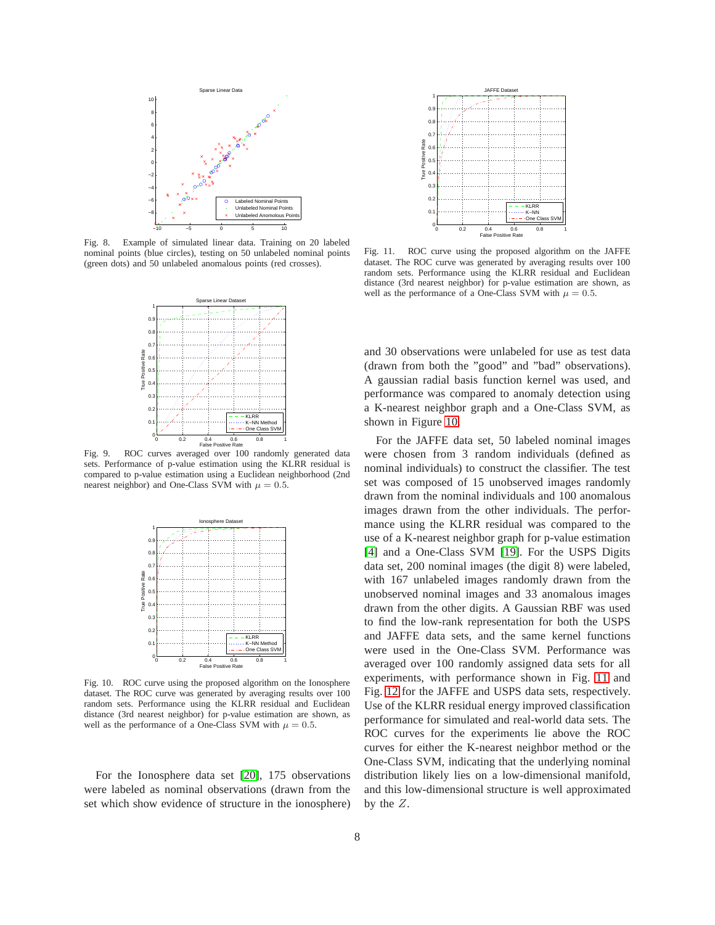

<span id="page-7-0"></span>Fig. 8. Example of simulated linear data. Training on 20 labeled nominal points (blue circles), testing on 50 unlabeled nominal points (green dots) and 50 unlabeled anomalous points (red crosses).



<span id="page-7-1"></span>Fig. 9. ROC curves averaged over 100 randomly generated data sets. Performance of p-value estimation using the KLRR residual is compared to p-value estimation using a Euclidean neighborhood (2nd nearest neighbor) and One-Class SVM with  $\mu = 0.5$ .



<span id="page-7-2"></span>Fig. 10. ROC curve using the proposed algorithm on the Ionosphere dataset. The ROC curve was generated by averaging results over 100 random sets. Performance using the KLRR residual and Euclidean distance (3rd nearest neighbor) for p-value estimation are shown, as well as the performance of a One-Class SVM with  $\mu = 0.5$ .

For the Ionosphere data set [\[20\]](#page-8-19), 175 observations were labeled as nominal observations (drawn from the set which show evidence of structure in the ionosphere)



<span id="page-7-3"></span>Fig. 11. ROC curve using the proposed algorithm on the JAFFE dataset. The ROC curve was generated by averaging results over 100 random sets. Performance using the KLRR residual and Euclidean distance (3rd nearest neighbor) for p-value estimation are shown, as well as the performance of a One-Class SVM with  $\mu = 0.5$ .

and 30 observations were unlabeled for use as test data (drawn from both the "good" and "bad" observations). A gaussian radial basis function kernel was used, and performance was compared to anomaly detection using a K-nearest neighbor graph and a One-Class SVM, as shown in Figure [10.](#page-7-2)

For the JAFFE data set, 50 labeled nominal images were chosen from 3 random individuals (defined as nominal individuals) to construct the classifier. The test set was composed of 15 unobserved images randomly drawn from the nominal individuals and 100 anomalous images drawn from the other individuals. The performance using the KLRR residual was compared to the use of a K-nearest neighbor graph for p-value estimation [\[4\]](#page-8-3) and a One-Class SVM [\[19\]](#page-8-18). For the USPS Digits data set, 200 nominal images (the digit 8) were labeled, with 167 unlabeled images randomly drawn from the unobserved nominal images and 33 anomalous images drawn from the other digits. A Gaussian RBF was used to find the low-rank representation for both the USPS and JAFFE data sets, and the same kernel functions were used in the One-Class SVM. Performance was averaged over 100 randomly assigned data sets for all experiments, with performance shown in Fig. [11](#page-7-3) and Fig. [12](#page-8-22) for the JAFFE and USPS data sets, respectively. Use of the KLRR residual energy improved classification performance for simulated and real-world data sets. The ROC curves for the experiments lie above the ROC curves for either the K-nearest neighbor method or the One-Class SVM, indicating that the underlying nominal distribution likely lies on a low-dimensional manifold, and this low-dimensional structure is well approximated by the Z.